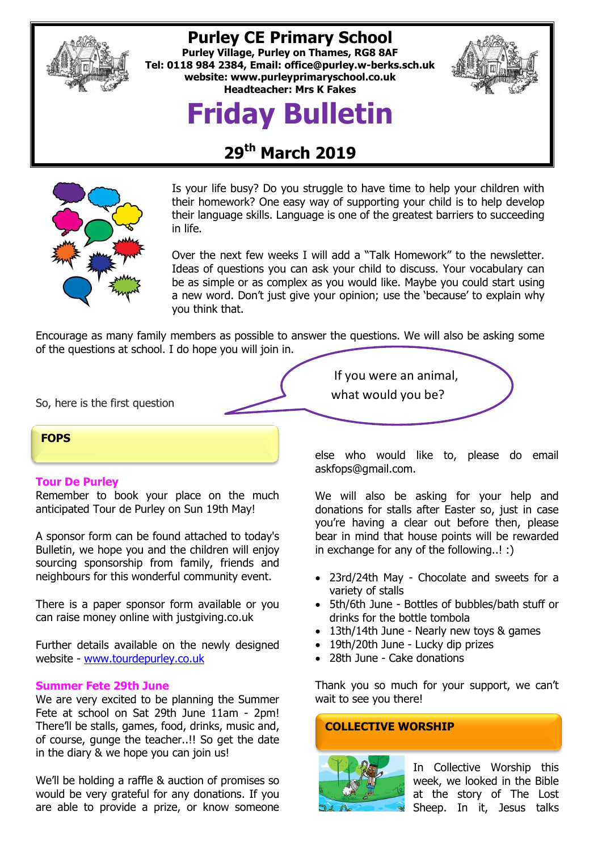

## **Purley CE Primary School**

**Purley Village, Purley on Thames, RG8 8AF Tel: 0118 984 2384, Email: [office@purley.w-berks.sch.uk](mailto:office@purley.w-berks.sch.uk) website: www.purleyprimaryschool.co.uk Headteacher: Mrs K Fakes**



# **Friday Bulletin**

# **29th March 2019**



Is your life busy? Do you struggle to have time to help your children with their homework? One easy way of supporting your child is to help develop their language skills. Language is one of the greatest barriers to succeeding in life.

Over the next few weeks I will add a "Talk Homework" to the newsletter. Ideas of questions you can ask your child to discuss. Your vocabulary can be as simple or as complex as you would like. Maybe you could start using a new word. Don't just give your opinion; use the 'because' to explain why you think that.

Encourage as many family members as possible to answer the questions. We will also be asking some of the questions at school. I do hope you will join in.

So, here is the first question

#### **FOPS**

#### **Tour De Purley**

Remember to book your place on the much anticipated Tour de Purley on Sun 19th May!

A sponsor form can be found attached to today's Bulletin, we hope you and the children will enjoy sourcing sponsorship from family, friends and neighbours for this wonderful community event.

There is a paper sponsor form available or you can raise money online with justgiving.co.uk

Further details available on the newly designed website - [www.tourdepurley.co.uk](http://www.tourdepurley.co.uk/)

#### **Summer Fete 29th June**

We are very excited to be planning the Summer Fete at school on Sat 29th June 11am - 2pm! There'll be stalls, games, food, drinks, music and, of course, gunge the teacher..!! So get the date in the diary & we hope you can join us!

We'll be holding a raffle & auction of promises so would be very grateful for any donations. If you are able to provide a prize, or know someone If you were an animal,

what would you be?

else who would like to, please do email askfops@gmail.com.

We will also be asking for your help and donations for stalls after Easter so, just in case you're having a clear out before then, please bear in mind that house points will be rewarded in exchange for any of the following..! :)

- 23rd/24th May Chocolate and sweets for a variety of stalls
- 5th/6th June Bottles of bubbles/bath stuff or drinks for the bottle tombola
- 13th/14th June Nearly new toys & games
- 19th/20th June Lucky dip prizes
- 28th June Cake donations

Thank you so much for your support, we can't wait to see you there!

#### **COLLECTIVE WORSHIP**



In Collective Worship this week, we looked in the Bible at the story of The Lost Sheep. In it, Jesus talks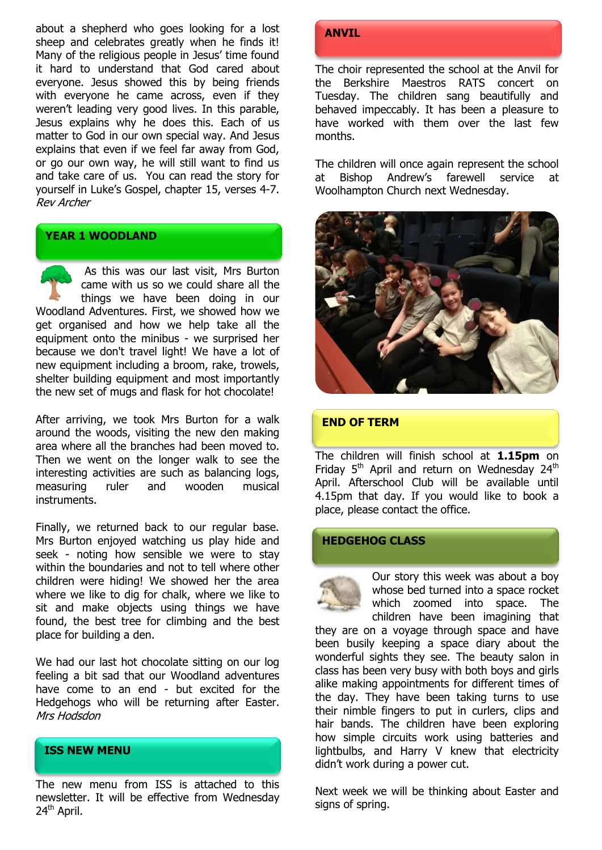about a shepherd who goes looking for a lost sheep and celebrates greatly when he finds it! Many of the religious people in Jesus' time found it hard to understand that God cared about everyone. Jesus showed this by being friends with everyone he came across, even if they weren't leading very good lives. In this parable, Jesus explains why he does this. Each of us matter to God in our own special way. And Jesus explains that even if we feel far away from God, or go our own way, he will still want to find us and take care of us. You can read the story for yourself in Luke's Gospel, chapter 15, verses 4-7. Rev Archer

#### **YEAR 1 WOODLAND**

As this was our last visit, Mrs Burton came with us so we could share all the things we have been doing in our Woodland Adventures. First, we showed how we get organised and how we help take all the equipment onto the minibus - we surprised her because we don't travel light! We have a lot of new equipment including a broom, rake, trowels, shelter building equipment and most importantly the new set of mugs and flask for hot chocolate!

After arriving, we took Mrs Burton for a walk around the woods, visiting the new den making area where all the branches had been moved to. Then we went on the longer walk to see the interesting activities are such as balancing logs, measuring ruler and wooden musical instruments.

Finally, we returned back to our regular base. Mrs Burton enjoyed watching us play hide and seek - noting how sensible we were to stay within the boundaries and not to tell where other children were hiding! We showed her the area where we like to dig for chalk, where we like to sit and make objects using things we have found, the best tree for climbing and the best place for building a den.

We had our last hot chocolate sitting on our log feeling a bit sad that our Woodland adventures have come to an end - but excited for the Hedgehogs who will be returning after Easter. Mrs Hodsdon

#### **ISS NEW MENU**

The new menu from ISS is attached to this newsletter. It will be effective from Wednesday 24<sup>th</sup> April.

### **ANVIL**

The choir represented the school at the Anvil for the Berkshire Maestros RATS concert on Tuesday. The children sang beautifully and behaved impeccably. It has been a pleasure to have worked with them over the last few months.

The children will once again represent the school at Bishop Andrew's farewell service at Woolhampton Church next Wednesday.



#### **END OF TERM**

The children will finish school at **1.15pm** on Friday  $5<sup>th</sup>$  April and return on Wednesday 24<sup>th</sup> April. Afterschool Club will be available until 4.15pm that day. If you would like to book a place, please contact the office.

#### **HEDGEHOG CLASS**

Our story this week was about a boy whose bed turned into a space rocket which zoomed into space. The children have been imagining that

they are on a voyage through space and have been busily keeping a space diary about the wonderful sights they see. The beauty salon in class has been very busy with both boys and girls alike making appointments for different times of the day. They have been taking turns to use their nimble fingers to put in curlers, clips and hair bands. The children have been exploring how simple circuits work using batteries and lightbulbs, and Harry V knew that electricity didn't work during a power cut.

Next week we will be thinking about Easter and signs of spring.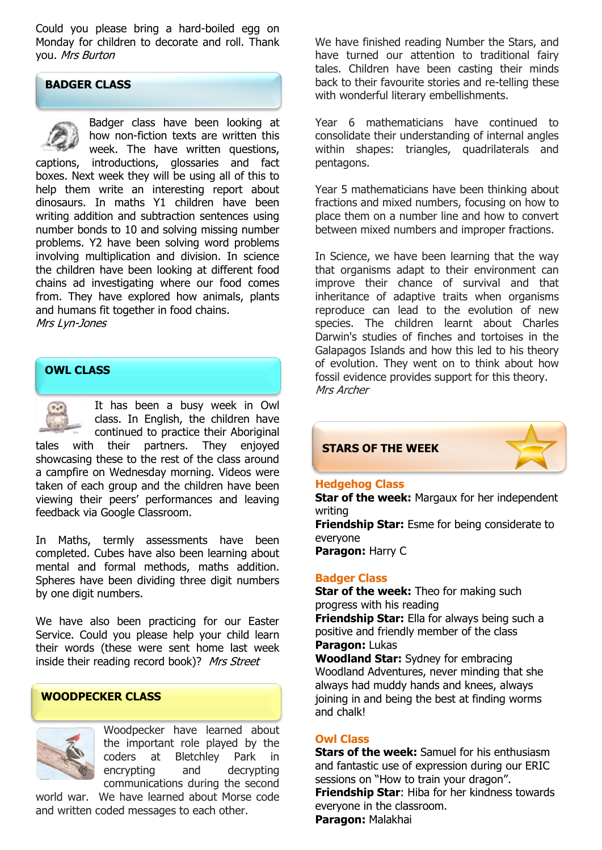Could you please bring a hard-boiled egg on Monday for children to decorate and roll. Thank you. Mrs Burton

#### **BADGER CLASS**



Badger class have been looking at how non-fiction texts are written this week. The have written questions,

captions, introductions, glossaries and fact boxes. Next week they will be using all of this to help them write an interesting report about dinosaurs. In maths Y1 children have been writing addition and subtraction sentences using number bonds to 10 and solving missing number problems. Y2 have been solving word problems involving multiplication and division. In science the children have been looking at different food chains ad investigating where our food comes from. They have explored how animals, plants and humans fit together in food chains.

Mrs Lyn-Jones

#### **OWL CLASS**



It has been a busy week in Owl class. In English, the children have continued to practice their Aboriginal

tales with their partners. They enjoyed showcasing these to the rest of the class around a campfire on Wednesday morning. Videos were taken of each group and the children have been viewing their peers' performances and leaving feedback via Google Classroom.

In Maths, termly assessments have been completed. Cubes have also been learning about mental and formal methods, maths addition. Spheres have been dividing three digit numbers by one digit numbers.

We have also been practicing for our Easter Service. Could you please help your child learn their words (these were sent home last week inside their reading record book)? Mrs Street

#### **WOODPECKER CLASS**



Woodpecker have learned about the important role played by the coders at Bletchley Park in encrypting and decrypting communications during the second

world war. We have learned about Morse code and written coded messages to each other.

We have finished reading Number the Stars, and have turned our attention to traditional fairy tales. Children have been casting their minds back to their favourite stories and re-telling these with wonderful literary embellishments.

Year 6 mathematicians have continued to consolidate their understanding of internal angles within shapes: triangles, quadrilaterals and pentagons.

Year 5 mathematicians have been thinking about fractions and mixed numbers, focusing on how to place them on a number line and how to convert between mixed numbers and improper fractions.

In Science, we have been learning that the way that organisms adapt to their environment can improve their chance of survival and that inheritance of adaptive traits when organisms reproduce can lead to the evolution of new species. The children learnt about Charles Darwin's studies of finches and tortoises in the Galapagos Islands and how this led to his theory of evolution. They went on to think about how fossil evidence provides support for this theory. Mrs Archer



#### **Hedgehog Class**

**Star of the week:** Margaux for her independent writing

**Friendship Star:** Esme for being considerate to everyone **Paragon:** Harry C

#### **Badger Class**

**Star of the week:** Theo for making such progress with his reading **Friendship Star:** Ella for always being such a positive and friendly member of the class **Paragon:** Lukas

**Woodland Star:** Sydney for embracing Woodland Adventures, never minding that she always had muddy hands and knees, always joining in and being the best at finding worms and chalk!

#### **Owl Class**

**Stars of the week:** Samuel for his enthusiasm and fantastic use of expression during our ERIC sessions on "How to train your dragon". **Friendship Star**: Hiba for her kindness towards everyone in the classroom. **Paragon:** Malakhai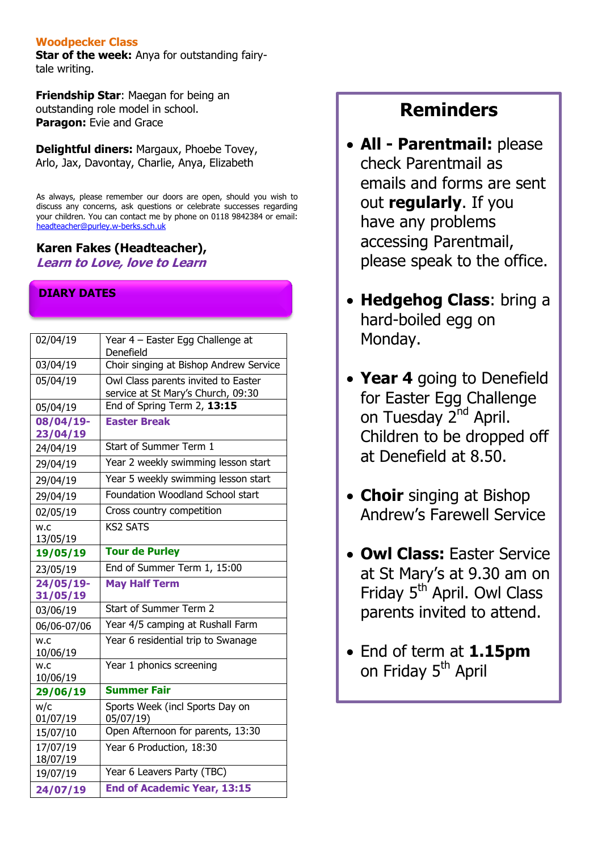#### **Woodpecker Class**

**Star of the week:** Anya for outstanding fairytale writing.

**Friendship Star**: Maegan for being an outstanding role model in school. **Paragon:** Evie and Grace

**Delightful diners:** Margaux, Phoebe Tovey, Arlo, Jax, Davontay, Charlie, Anya, Elizabeth

As always, please remember our doors are open, should you wish to discuss any concerns, ask questions or celebrate successes regarding your children. You can contact me by phone on 0118 9842384 or email: [headteacher@purley.w-berks.sch.uk](mailto:headteacher@purley.w-berks.sch.uk)

## **Karen Fakes (Headteacher),**

**Learn to Love, love to Learn**

### **DIARY DATES**

| 02/04/19             | Year 4 - Easter Egg Challenge at<br>Denefield                             |
|----------------------|---------------------------------------------------------------------------|
| 03/04/19             | Choir singing at Bishop Andrew Service                                    |
| 05/04/19             | Owl Class parents invited to Easter<br>service at St Mary's Church, 09:30 |
| 05/04/19             | End of Spring Term 2, 13:15                                               |
| 08/04/19-            | <b>Easter Break</b>                                                       |
| 23/04/19             |                                                                           |
| 24/04/19             | Start of Summer Term 1                                                    |
| 29/04/19             | Year 2 weekly swimming lesson start                                       |
| 29/04/19             | Year 5 weekly swimming lesson start                                       |
| 29/04/19             | Foundation Woodland School start                                          |
| 02/05/19             | Cross country competition                                                 |
| w.c                  | <b>KS2 SATS</b>                                                           |
| 13/05/19             |                                                                           |
| 19/05/19             | <b>Tour de Purley</b>                                                     |
| 23/05/19             | End of Summer Term 1, 15:00                                               |
|                      |                                                                           |
| 24/05/19-            | <b>May Half Term</b>                                                      |
| 31/05/19             |                                                                           |
| 03/06/19             | Start of Summer Term 2                                                    |
| 06/06-07/06          | Year 4/5 camping at Rushall Farm                                          |
| w.c                  | Year 6 residential trip to Swanage                                        |
| 10/06/19<br>w.c      | Year 1 phonics screening                                                  |
| 10/06/19             |                                                                           |
| 29/06/19             | <b>Summer Fair</b>                                                        |
| W/C                  | Sports Week (incl Sports Day on                                           |
| 01/07/19             | 05/07/19)                                                                 |
| 15/07/10             | Open Afternoon for parents, 13:30                                         |
| 17/07/19             | Year 6 Production, 18:30                                                  |
| 18/07/19             |                                                                           |
| 19/07/19<br>24/07/19 | Year 6 Leavers Party (TBC)<br><b>End of Academic Year, 13:15</b>          |

# **Reminders**

- **All - Parentmail:** please check Parentmail as emails and forms are sent out **regularly**. If you have any problems accessing Parentmail, please speak to the office.
- **Hedgehog Class**: bring a hard-boiled egg on Monday.
- **Year 4** going to Denefield for Easter Egg Challenge on Tuesday 2<sup>nd</sup> April. Children to be dropped off at Denefield at 8.50.
- **Choir** singing at Bishop Andrew's Farewell Service
- **Owl Class:** Easter Service at St Mary's at 9.30 am on Friday 5<sup>th</sup> April. Owl Class parents invited to attend.
- End of term at **1.15pm** on Friday 5<sup>th</sup> April